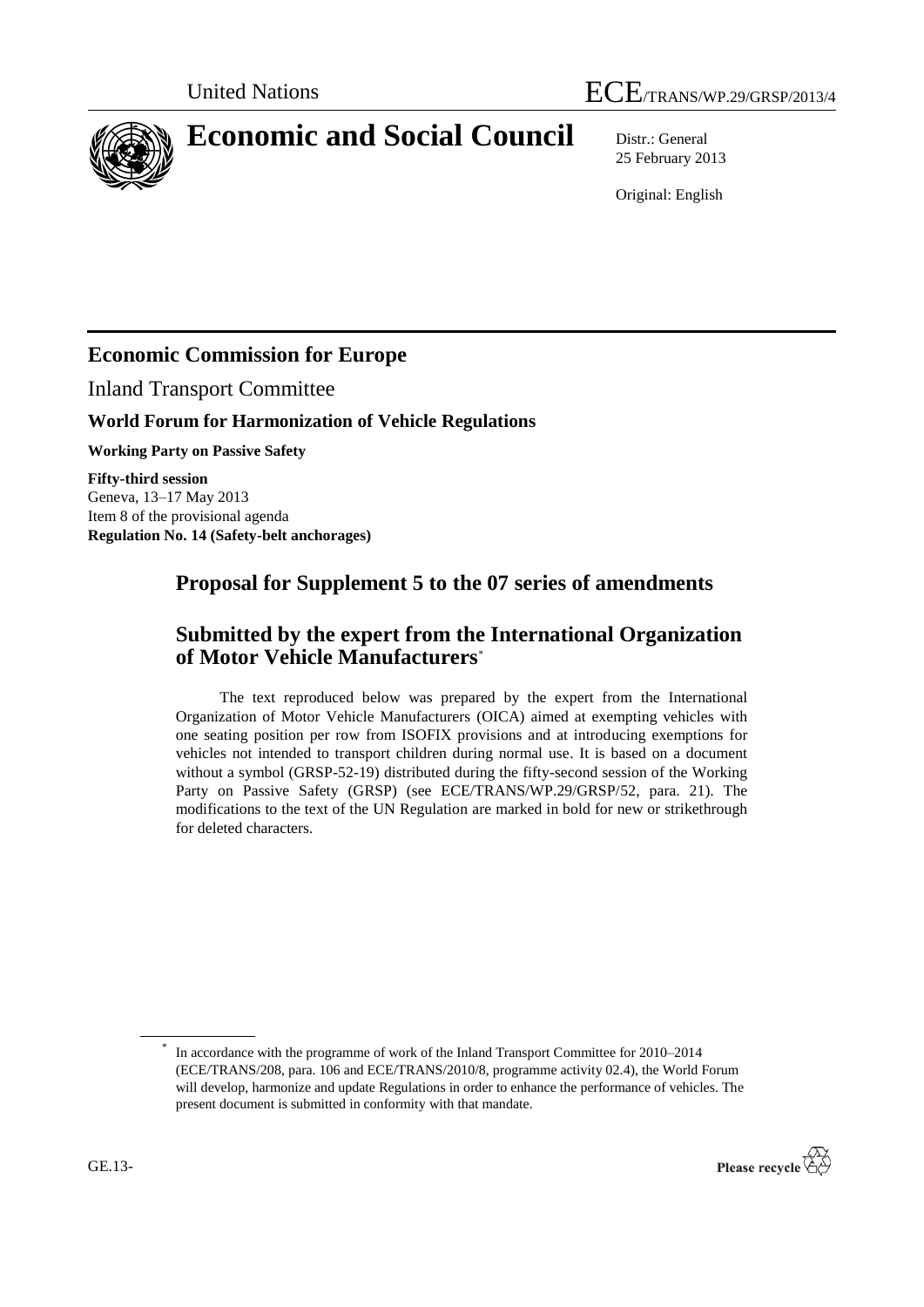

# **Economic and Social Council** Distr.: General

25 February 2013

Original: English

## **Economic Commission for Europe**

Inland Transport Committee

#### **World Forum for Harmonization of Vehicle Regulations**

**Working Party on Passive Safety**

**Fifty-third session** Geneva, 13–17 May 2013 Item 8 of the provisional agenda **Regulation No. 14 (Safety-belt anchorages)**

## **Proposal for Supplement 5 to the 07 series of amendments**

#### **Submitted by the expert from the International Organization of Motor Vehicle Manufacturers**\*

The text reproduced below was prepared by the expert from the International Organization of Motor Vehicle Manufacturers (OICA) aimed at exempting vehicles with one seating position per row from ISOFIX provisions and at introducing exemptions for vehicles not intended to transport children during normal use. It is based on a document without a symbol (GRSP-52-19) distributed during the fifty-second session of the Working Party on Passive Safety (GRSP) (see ECE/TRANS/WP.29/GRSP/52, para. 21). The modifications to the text of the UN Regulation are marked in bold for new or strikethrough for deleted characters.

<sup>\*</sup> In accordance with the programme of work of the Inland Transport Committee for 2010–2014 (ECE/TRANS/208, para. 106 and ECE/TRANS/2010/8, programme activity 02.4), the World Forum will develop, harmonize and update Regulations in order to enhance the performance of vehicles. The present document is submitted in conformity with that mandate.